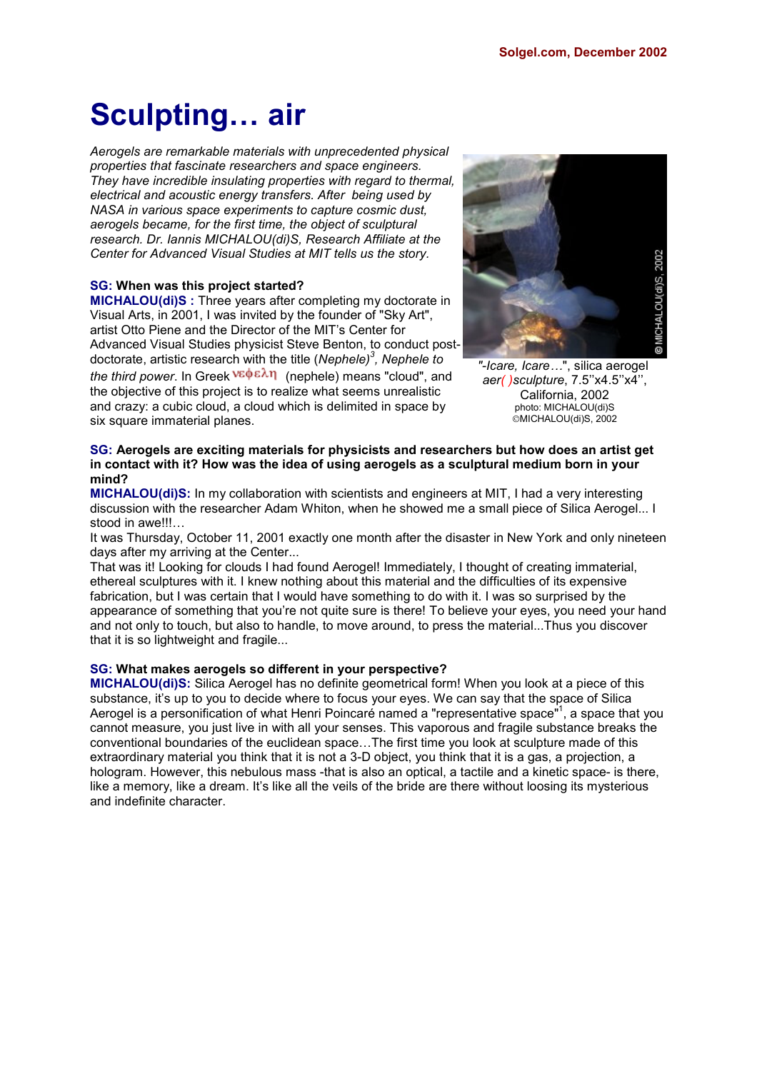## **Sculpting… air**

*Aerogels are remarkable materials with unprecedented physical properties that fascinate researchers and space engineers. They have incredible insulating properties with regard to thermal, electrical and acoustic energy transfers. After being used by NASA in various space experiments to capture cosmic dust, aerogels became, for the first time, the object of sculptural research. Dr. Iannis MICHALOU(di)S, Research Affiliate at the Center for Advanced Visual Studies at MIT tells us the story.*

#### **SG: When was this project started?**

**MICHALOU(di)S :** Three years after completing my doctorate in Visual Arts, in 2001, I was invited by the founder of "Sky Art", artist Otto Piene and the Director of the MIT's Center for Advanced Visual Studies physicist Steve Benton, to conduct postdoctorate, artistic research with the title (*Nephele)<sup>3</sup> , Nephele to the third power*. In Greek <sup>νεφελη</sup> (nephele) means "cloud", and the objective of this project is to realize what seems unrealistic and crazy: a cubic cloud, a cloud which is delimited in space by six square immaterial planes.



*"-Icare, Icare…*", silica aerogel *aer( )sculpture*, 7.5''x4.5''x4'', California, 2002 photo: MICHALOU(di)S MICHALOU(di)S, 2002

#### **SG: Aerogels are exciting materials for physicists and researchers but how does an artist get in contact with it? How was the idea of using aerogels as a sculptural medium born in your mind?**

**MICHALOU(di)S:** In my collaboration with scientists and engineers at MIT, I had a very interesting discussion with the researcher Adam Whiton, when he showed me a small piece of Silica Aerogel... I stood in awe!!!...

It was Thursday, October 11, 2001 exactly one month after the disaster in New York and only nineteen days after my arriving at the Center...

That was it! Looking for clouds I had found Aerogel! Immediately, I thought of creating immaterial, ethereal sculptures with it. I knew nothing about this material and the difficulties of its expensive fabrication, but I was certain that I would have something to do with it. I was so surprised by the appearance of something that you're not quite sure is there! To believe your eyes, you need your hand and not only to touch, but also to handle, to move around, to press the material...Thus you discover that it is so lightweight and fragile...

#### **SG: What makes aerogels so different in your perspective?**

**MICHALOU(di)S:** Silica Aerogel has no definite geometrical form! When you look at a piece of this substance, it's up to you to decide where to focus your eyes. We can say that the space of Silica Aerogel is a personification of what Henri Poincaré named a "representative space"<sup>1</sup>, a space that you cannot measure, you just live in with all your senses. This vaporous and fragile substance breaks the conventional boundaries of the euclidean space…The first time you look at sculpture made of this extraordinary material you think that it is not a 3-D object, you think that it is a gas, a projection, a hologram. However, this nebulous mass -that is also an optical, a tactile and a kinetic space- is there, like a memory, like a dream. It's like all the veils of the bride are there without loosing its mysterious and indefinite character.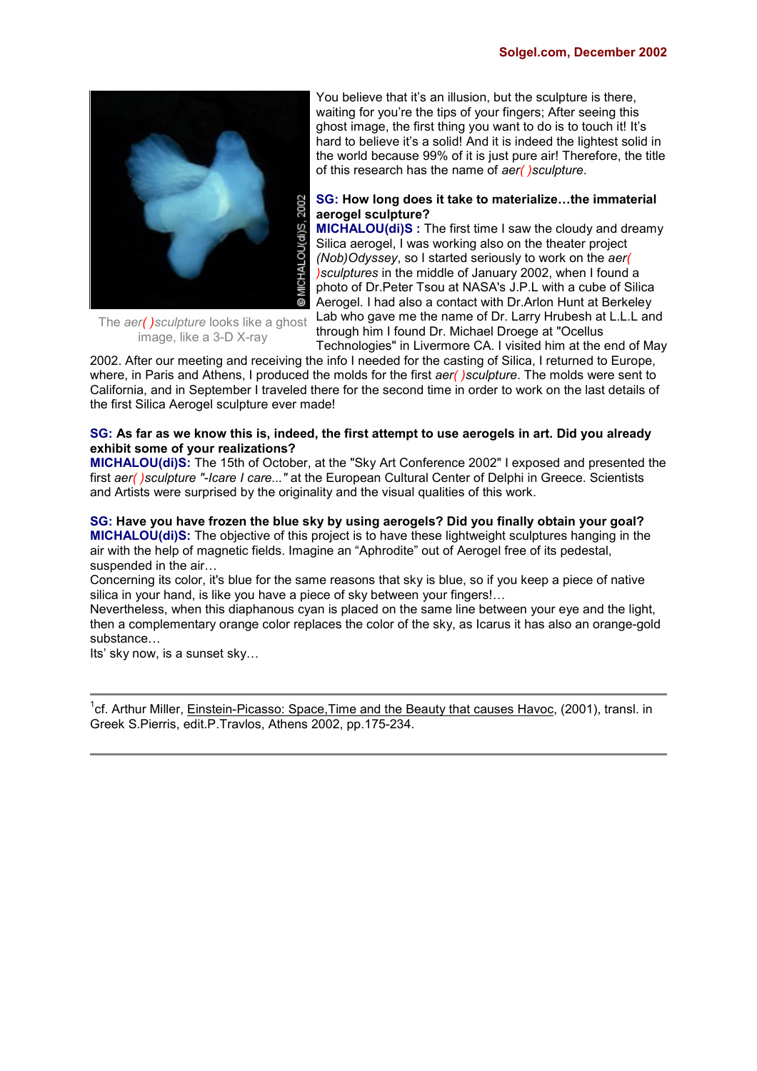

The *aer( )sculpture* looks like a ghost image, like a 3-D X-ray

You believe that it's an illusion, but the sculpture is there, waiting for you're the tips of your fingers; After seeing this ghost image, the first thing you want to do is to touch it! It's hard to believe it's a solid! And it is indeed the lightest solid in the world because 99% of it is just pure air! Therefore, the title of this research has the name of *aer( )sculpture*.

#### **SG: How long does it take to materialize…the immaterial aerogel sculpture?**

**MICHALOU(di)S :** The first time I saw the cloudy and dreamy Silica aerogel, I was working also on the theater project *(Nob)Odyssey*, so I started seriously to work on the *aer( )sculptures* in the middle of January 2002, when I found a photo of Dr.Peter Tsou at NASA's J.P.L with a cube of Silica Aerogel. I had also a contact with Dr.Arlon Hunt at Berkeley Lab who gave me the name of Dr. Larry Hrubesh at L.L.L and through him I found Dr. Michael Droege at "Ocellus

Technologies" in Livermore CA. I visited him at the end of May

2002. After our meeting and receiving the info I needed for the casting of Silica, I returned to Europe, where, in Paris and Athens, I produced the molds for the first *aer( )sculpture*. The molds were sent to California, and in September I traveled there for the second time in order to work on the last details of the first Silica Aerogel sculpture ever made!

#### **SG: As far as we know this is, indeed, the first attempt to use aerogels in art. Did you already exhibit some of your realizations?**

**MICHALOU(di)S:** The 15th of October, at the "Sky Art Conference 2002" I exposed and presented the first *aer( )sculpture "-Icare I care..."* at the European Cultural Center of Delphi in Greece. Scientists and Artists were surprised by the originality and the visual qualities of this work.

**SG: Have you have frozen the blue sky by using aerogels? Did you finally obtain your goal? MICHALOU(di)S:** The objective of this project is to have these lightweight sculptures hanging in the air with the help of magnetic fields. Imagine an "Aphrodite" out of Aerogel free of its pedestal, suspended in the air…

Concerning its color, it's blue for the same reasons that sky is blue, so if you keep a piece of native silica in your hand, is like you have a piece of sky between your fingers!...

Nevertheless, when this diaphanous cyan is placed on the same line between your eye and the light, then a complementary orange color replaces the color of the sky, as Icarus it has also an orange-gold substance…

Its' sky now, is a sunset sky…

<sup>1</sup>cf. Arthur Miller, Einstein-Picasso: Space, Time and the Beauty that causes Havoc, (2001), transl. in Greek S.Pierris, edit.P.Travlos, Athens 2002, pp.175-234.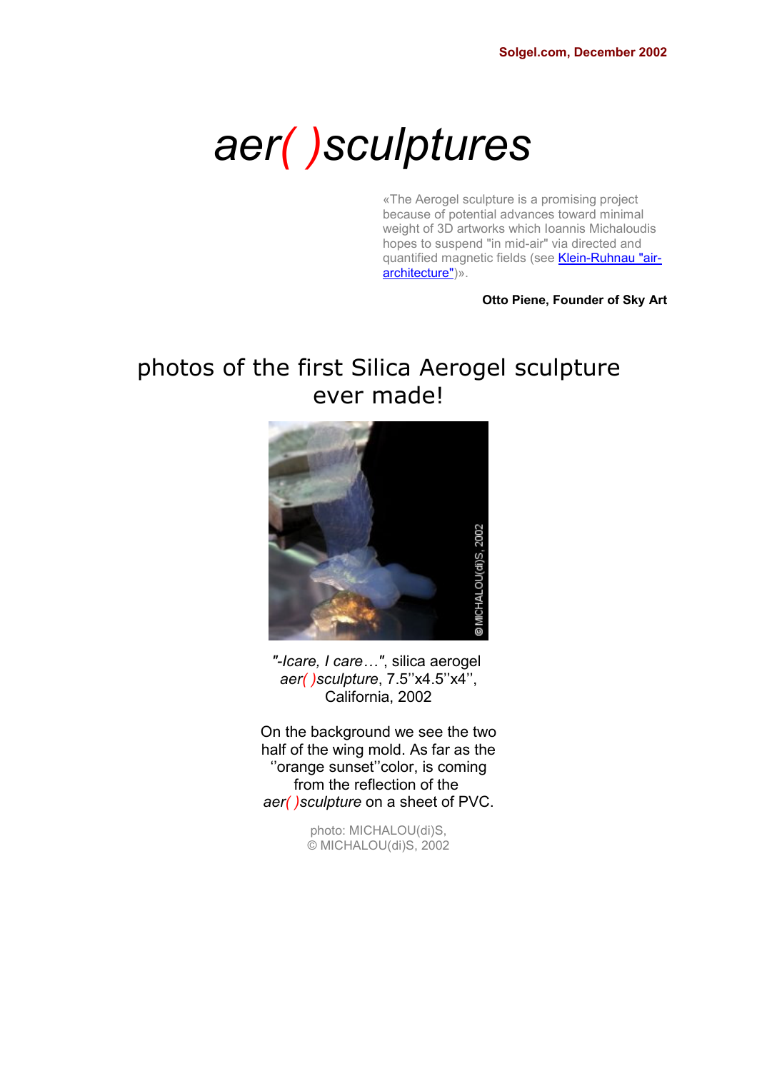# *aer( )sculptures*

«The Aerogel sculpture is a promising project because of potential advances toward minimal weight of 3D artworks which Ioannis Michaloudis hopes to suspend "in mid-air" via directed and quantified magnetic fields (see Klein-Ruhnau "airarchitecture")».

#### **Otto Piene, Founder of Sky Art**

## photos of the first Silica Aerogel sculpture ever made!



*"-Icare, I care…"*, silica aerogel *aer( )sculpture*, 7.5''x4.5''x4'', California, 2002

On the background we see the two half of the wing mold. As far as the ''orange sunset''color, is coming from the reflection of the *aer( )sculpture* on a sheet of PVC.

> photo: MICHALOU(di)S, © MICHALOU(di)S, 2002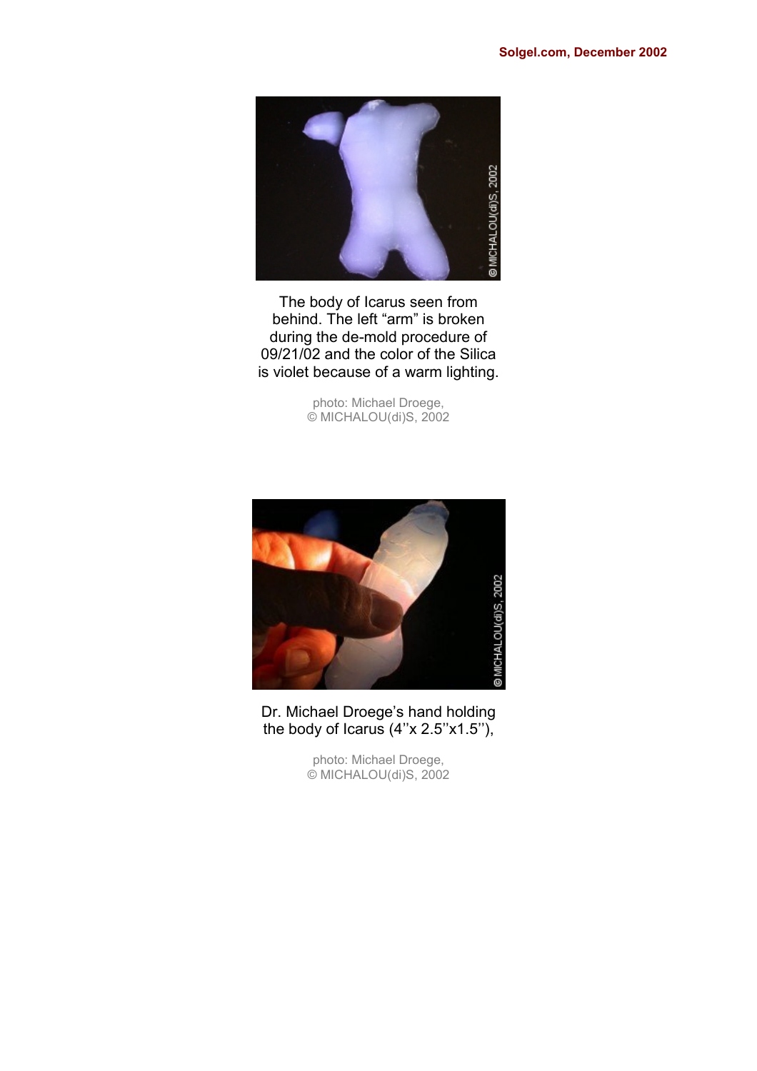

The body of Icarus seen from behind. The left "arm" is broken during the de-mold procedure of 09/21/02 and the color of the Silica is violet because of a warm lighting.

> photo: Michael Droege, © MICHALOU(di)S, 2002



Dr. Michael Droege's hand holding the body of Icarus (4''x 2.5''x1.5''),

> photo: Michael Droege, © MICHALOU(di)S, 2002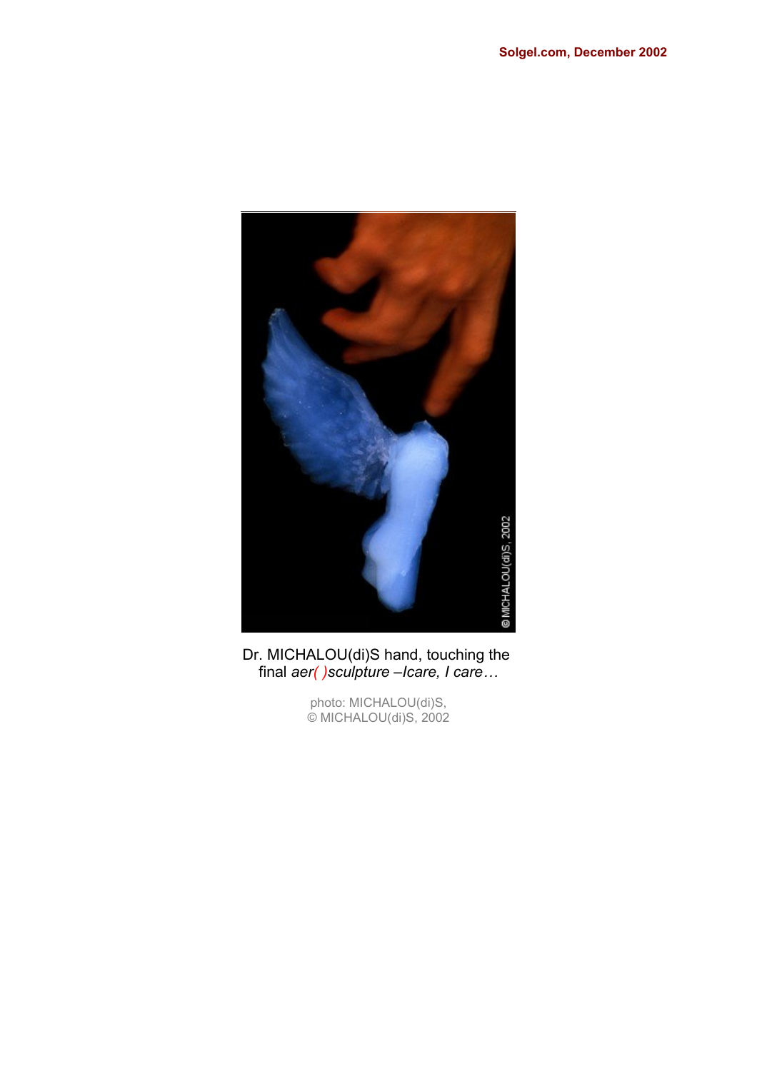

Dr. MICHALOU(di)S hand, touching the final *aer( )sculpture –Icare, I care…*

> photo: MICHALOU(di)S, © MICHALOU(di)S, 2002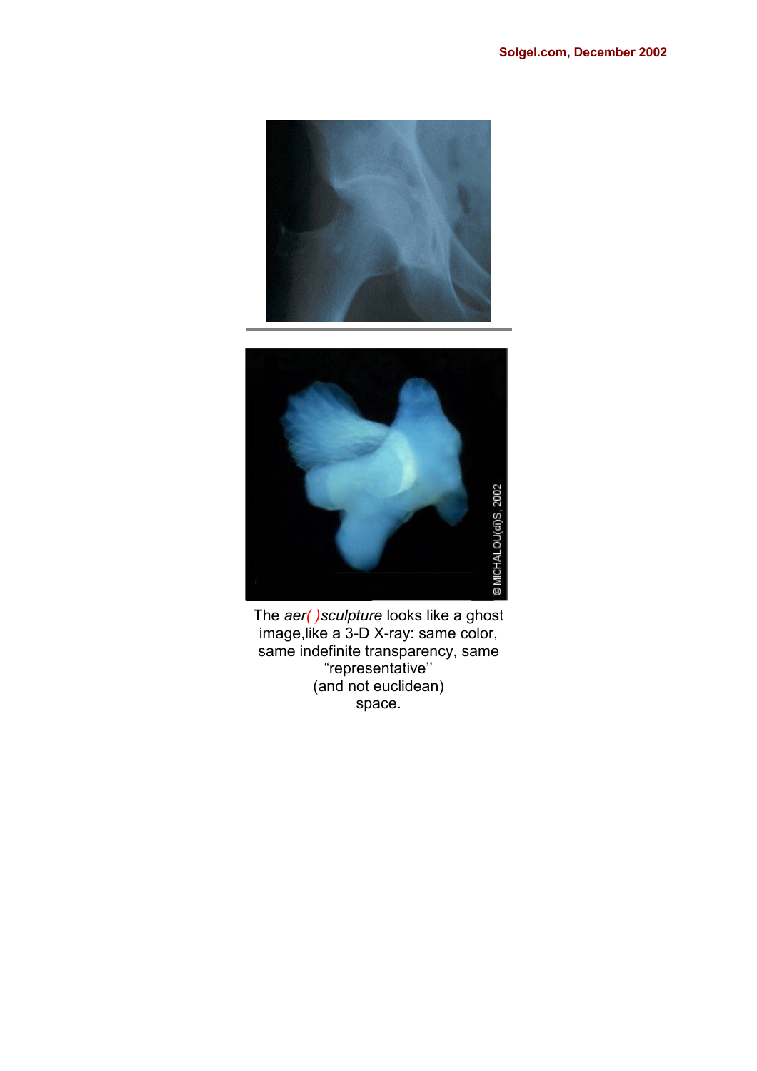



The *aer( )sculpture* looks like a ghost image,like a 3-D X-ray: same color, same indefinite transparency, same "representative'' (and not euclidean) space.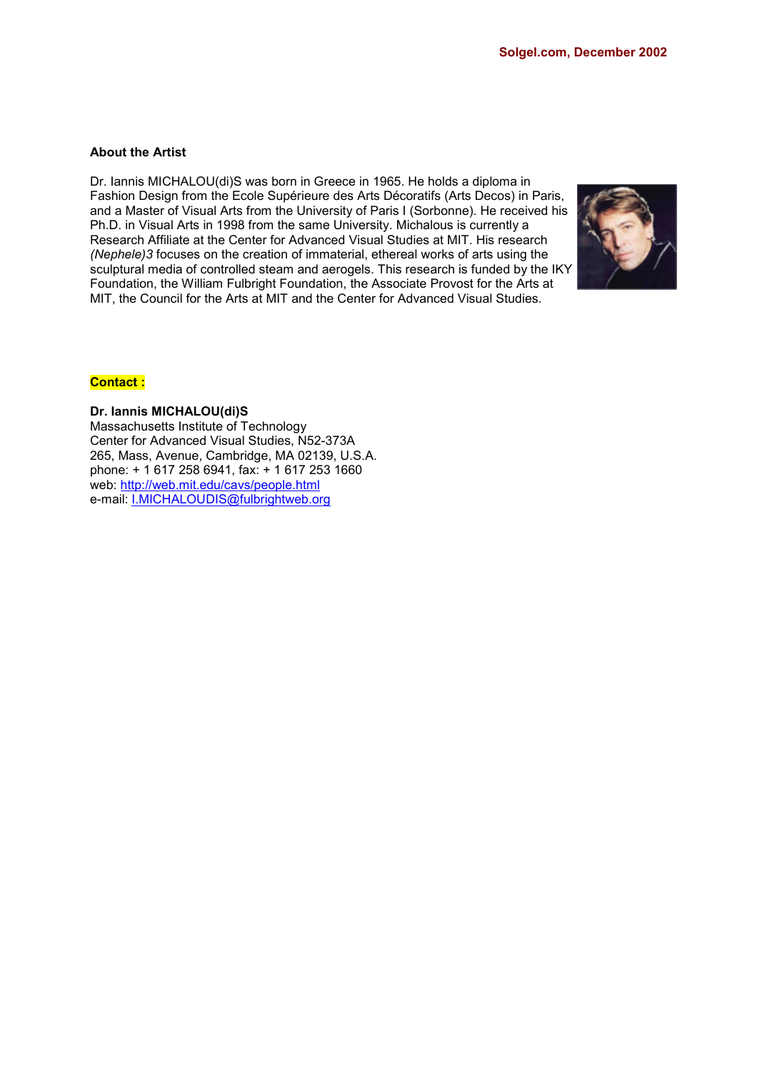#### **About the Artist**

Dr. Iannis MICHALOU(di)S was born in Greece in 1965. He holds a diploma in Fashion Design from the Ecole Supérieure des Arts Décoratifs (Arts Decos) in Paris, and a Master of Visual Arts from the University of Paris I (Sorbonne). He received his Ph.D. in Visual Arts in 1998 from the same University. Michalous is currently a Research Affiliate at the Center for Advanced Visual Studies at MIT. His research *(Nephele)3* focuses on the creation of immaterial, ethereal works of arts using the sculptural media of controlled steam and aerogels. This research is funded by the IKY Foundation, the William Fulbright Foundation, the Associate Provost for the Arts at MIT, the Council for the Arts at MIT and the Center for Advanced Visual Studies.



#### **Contact :**

**Dr. Iannis MICHALOU(di)S** Massachusetts Institute of Technology Center for Advanced Visual Studies, N52-373A 265, Mass, Avenue, Cambridge, MA 02139, U.S.A. phone: + 1 617 258 6941, fax: + 1 617 253 1660

web: http://web.mit.edu/cavs/people.html e-mail: I.MICHALOUDIS@fulbrightweb.org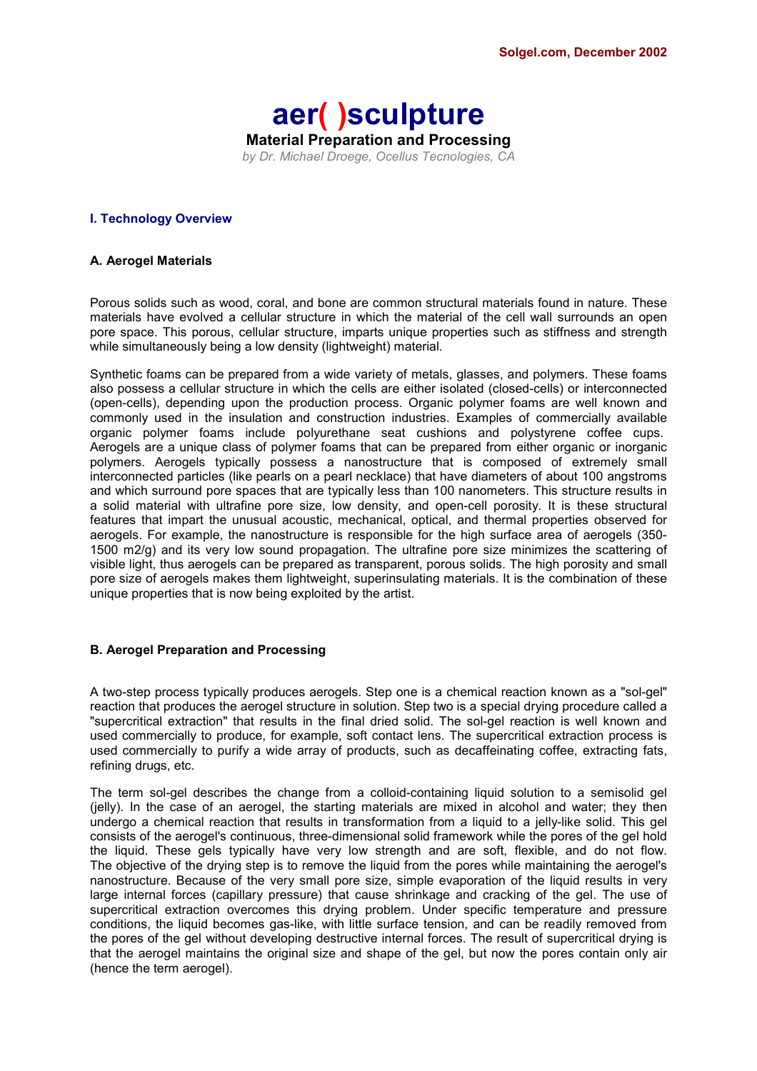### **aer( )sculpture Material Preparation and Processing** *by Dr. Michael Droege, Ocellus Tecnologies, CA*

#### **I. Technology Overview**

#### **A. Aerogel Materials**

Porous solids such as wood, coral, and bone are common structural materials found in nature. These materials have evolved a cellular structure in which the material of the cell wall surrounds an open pore space. This porous, cellular structure, imparts unique properties such as stiffness and strength while simultaneously being a low density (lightweight) material.

Synthetic foams can be prepared from a wide variety of metals, glasses, and polymers. These foams also possess a cellular structure in which the cells are either isolated (closed-cells) or interconnected (open-cells), depending upon the production process. Organic polymer foams are well known and commonly used in the insulation and construction industries. Examples of commercially available organic polymer foams include polyurethane seat cushions and polystyrene coffee cups. Aerogels are a unique class of polymer foams that can be prepared from either organic or inorganic polymers. Aerogels typically possess a nanostructure that is composed of extremely small interconnected particles (like pearls on a pearl necklace) that have diameters of about 100 angstroms and which surround pore spaces that are typically less than 100 nanometers. This structure results in a solid material with ultrafine pore size, low density, and open-cell porosity. It is these structural features that impart the unusual acoustic, mechanical, optical, and thermal properties observed for aerogels. For example, the nanostructure is responsible for the high surface area of aerogels (350- 1500 m2/g) and its very low sound propagation. The ultrafine pore size minimizes the scattering of visible light, thus aerogels can be prepared as transparent, porous solids. The high porosity and small pore size of aerogels makes them lightweight, superinsulating materials. It is the combination of these unique properties that is now being exploited by the artist.

#### **B. Aerogel Preparation and Processing**

A two-step process typically produces aerogels. Step one is a chemical reaction known as a "sol-gel" reaction that produces the aerogel structure in solution. Step two is a special drying procedure called a "supercritical extraction" that results in the final dried solid. The sol-gel reaction is well known and used commercially to produce, for example, soft contact lens. The supercritical extraction process is used commercially to purify a wide array of products, such as decaffeinating coffee, extracting fats, refining drugs, etc.

The term sol-gel describes the change from a colloid-containing liquid solution to a semisolid gel (jelly). In the case of an aerogel, the starting materials are mixed in alcohol and water; they then undergo a chemical reaction that results in transformation from a liquid to a jelly-like solid. This gel consists of the aerogel's continuous, three-dimensional solid framework while the pores of the gel hold the liquid. These gels typically have very low strength and are soft, flexible, and do not flow. The objective of the drying step is to remove the liquid from the pores while maintaining the aerogel's nanostructure. Because of the very small pore size, simple evaporation of the liquid results in very large internal forces (capillary pressure) that cause shrinkage and cracking of the gel. The use of supercritical extraction overcomes this drying problem. Under specific temperature and pressure conditions, the liquid becomes gas-like, with little surface tension, and can be readily removed from the pores of the gel without developing destructive internal forces. The result of supercritical drying is that the aerogel maintains the original size and shape of the gel, but now the pores contain only air (hence the term aerogel).